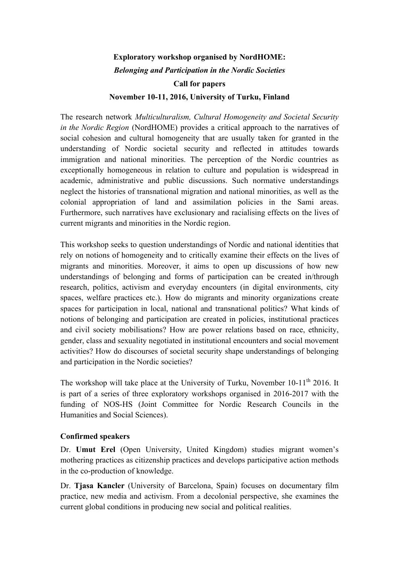# **Exploratory workshop organised by NordHOME:** *Belonging and Participation in the Nordic Societies*

# **Call for papers**

#### **November 10-11, 2016, University of Turku, Finland**

The research network *Multiculturalism, Cultural Homogeneity and Societal Security in the Nordic Region* (NordHOME) provides a critical approach to the narratives of social cohesion and cultural homogeneity that are usually taken for granted in the understanding of Nordic societal security and reflected in attitudes towards immigration and national minorities. The perception of the Nordic countries as exceptionally homogeneous in relation to culture and population is widespread in academic, administrative and public discussions. Such normative understandings neglect the histories of transnational migration and national minorities, as well as the colonial appropriation of land and assimilation policies in the Sami areas. Furthermore, such narratives have exclusionary and racialising effects on the lives of current migrants and minorities in the Nordic region.

This workshop seeks to question understandings of Nordic and national identities that rely on notions of homogeneity and to critically examine their effects on the lives of migrants and minorities. Moreover, it aims to open up discussions of how new understandings of belonging and forms of participation can be created in/through research, politics, activism and everyday encounters (in digital environments, city spaces, welfare practices etc.). How do migrants and minority organizations create spaces for participation in local, national and transnational politics? What kinds of notions of belonging and participation are created in policies, institutional practices and civil society mobilisations? How are power relations based on race, ethnicity, gender, class and sexuality negotiated in institutional encounters and social movement activities? How do discourses of societal security shape understandings of belonging and participation in the Nordic societies?

The workshop will take place at the University of Turku, November 10-11<sup>th</sup> 2016. It is part of a series of three exploratory workshops organised in 2016-2017 with the funding of NOS-HS (Joint Committee for Nordic Research Councils in the Humanities and Social Sciences).

### **Confirmed speakers**

Dr. **Umut Erel** (Open University, United Kingdom) studies migrant women's mothering practices as citizenship practices and develops participative action methods in the co-production of knowledge.

Dr. **Tjasa Kancler** (University of Barcelona, Spain) focuses on documentary film practice, new media and activism. From a decolonial perspective, she examines the current global conditions in producing new social and political realities.